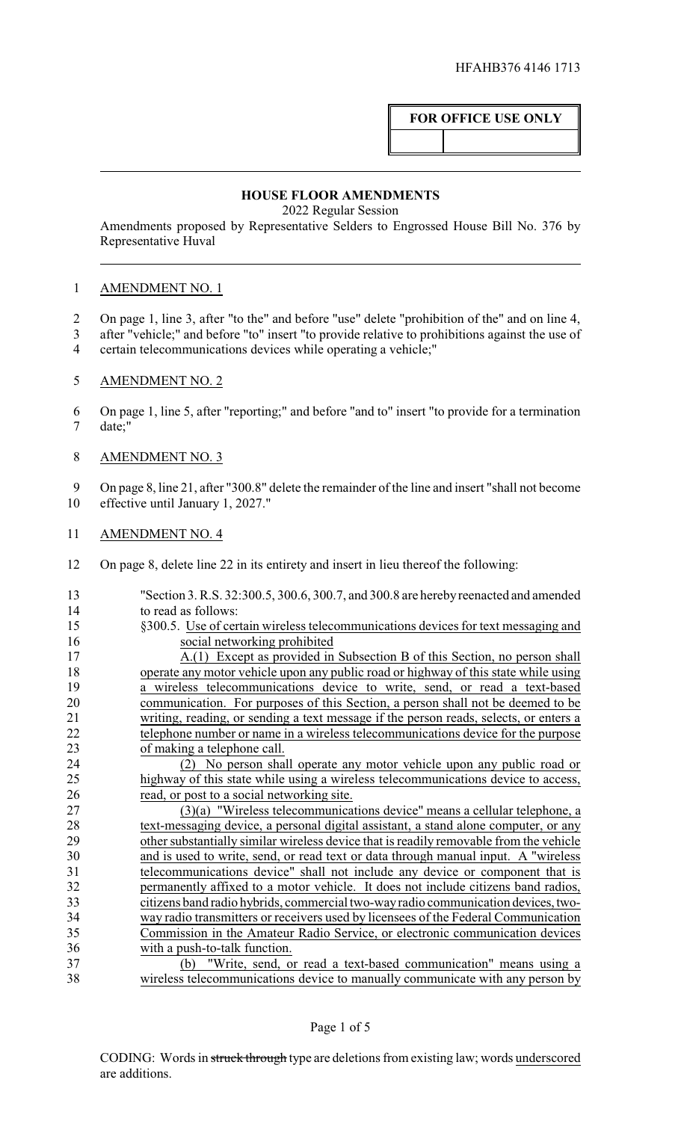## **FOR OFFICE USE ONLY**

## **HOUSE FLOOR AMENDMENTS**

2022 Regular Session

Amendments proposed by Representative Selders to Engrossed House Bill No. 376 by Representative Huval

## AMENDMENT NO. 1

- On page 1, line 3, after "to the" and before "use" delete "prohibition of the" and on line 4,
- after "vehicle;" and before "to" insert "to provide relative to prohibitions against the use of
- certain telecommunications devices while operating a vehicle;"
- AMENDMENT NO. 2
- On page 1, line 5, after "reporting;" and before "and to" insert "to provide for a termination date;"
- AMENDMENT NO. 3
- On page 8, line 21, after "300.8" delete the remainder of the line and insert "shall not become effective until January 1, 2027."
- AMENDMENT NO. 4
- On page 8, delete line 22 in its entirety and insert in lieu thereof the following:
- "Section 3. R.S. 32:300.5, 300.6, 300.7, and 300.8 are herebyreenacted and amended to read as follows: §300.5. Use of certain wireless telecommunications devices for text messaging and social networking prohibited A.(1) Except as provided in Subsection B of this Section, no person shall operate any motor vehicle upon any public road or highway of this state while using a wireless telecommunications device to write, send, or read a text-based communication. For purposes of this Section, a person shall not be deemed to be writing, reading, or sending a text message if the person reads, selects, or enters a 22 telephone number or name in a wireless telecommunications device for the purpose of making a telephone call. (2) No person shall operate any motor vehicle upon any public road or highway of this state while using a wireless telecommunications device to access, read, or post to a social networking site. (3)(a) "Wireless telecommunications device" means a cellular telephone, a text-messaging device, a personal digital assistant, a stand alone computer, or any other substantially similar wireless device that is readily removable from the vehicle and is used to write, send, or read text or data through manual input. A "wireless telecommunications device" shall not include any device or component that is permanently affixed to a motor vehicle. It does not include citizens band radios, citizens band radio hybrids, commercial two-wayradio communication devices, two-34 way radio transmitters or receivers used by licensees of the Federal Communication<br>35 Commission in the Amateur Radio Service, or electronic communication devices Commission in the Amateur Radio Service, or electronic communication devices with a push-to-talk function. (b) "Write, send, or read a text-based communication" means using a wireless telecommunications device to manually communicate with any person by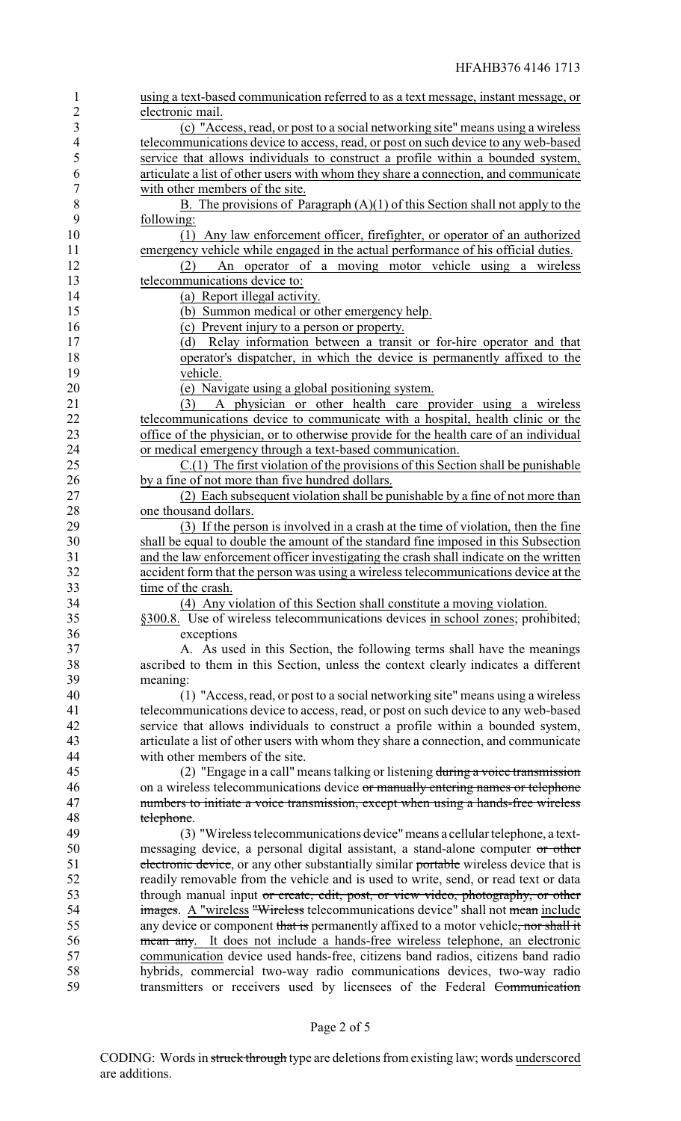| 1              | using a text-based communication referred to as a text message, instant message, or                                                                                  |
|----------------|----------------------------------------------------------------------------------------------------------------------------------------------------------------------|
| $\overline{c}$ | electronic mail.                                                                                                                                                     |
| 3              | (c) "Access, read, or post to a social networking site" means using a wireless                                                                                       |
| $\overline{4}$ | telecommunications device to access, read, or post on such device to any web-based                                                                                   |
| 5              | service that allows individuals to construct a profile within a bounded system,                                                                                      |
| 6              | articulate a list of other users with whom they share a connection, and communicate                                                                                  |
| 7              | with other members of the site.                                                                                                                                      |
| 8              | B. The provisions of Paragraph $(A)(1)$ of this Section shall not apply to the                                                                                       |
| 9              | following:                                                                                                                                                           |
| 10             | (1) Any law enforcement officer, firefighter, or operator of an authorized                                                                                           |
| 11             | emergency vehicle while engaged in the actual performance of his official duties.                                                                                    |
| 12             | An operator of a moving motor vehicle using a wireless<br>(2)                                                                                                        |
| 13             | telecommunications device to:                                                                                                                                        |
| 14             | (a) Report illegal activity.                                                                                                                                         |
| 15             | (b) Summon medical or other emergency help.                                                                                                                          |
| 16             | (c) Prevent injury to a person or property.                                                                                                                          |
| 17             | Relay information between a transit or for-hire operator and that<br>(d)                                                                                             |
| 18             | operator's dispatcher, in which the device is permanently affixed to the                                                                                             |
| 19             | vehicle.                                                                                                                                                             |
| 20             | (e) Navigate using a global positioning system.                                                                                                                      |
| 21             | A physician or other health care provider using a wireless<br>(3)                                                                                                    |
| 22             | telecommunications device to communicate with a hospital, health clinic or the                                                                                       |
| 23             | office of the physician, or to otherwise provide for the health care of an individual                                                                                |
| 24             | or medical emergency through a text-based communication.                                                                                                             |
| 25             | C.(1) The first violation of the provisions of this Section shall be punishable                                                                                      |
| 26             | by a fine of not more than five hundred dollars.                                                                                                                     |
| 27             | (2) Each subsequent violation shall be punishable by a fine of not more than                                                                                         |
| 28             | one thousand dollars.                                                                                                                                                |
| 29             | (3) If the person is involved in a crash at the time of violation, then the fine                                                                                     |
| 30             | shall be equal to double the amount of the standard fine imposed in this Subsection                                                                                  |
| 31             | and the law enforcement officer investigating the crash shall indicate on the written                                                                                |
| 32             | accident form that the person was using a wireless telecommunications device at the                                                                                  |
| 33             | time of the crash.                                                                                                                                                   |
| 34             | (4) Any violation of this Section shall constitute a moving violation.                                                                                               |
| 35             | §300.8. Use of wireless telecommunications devices in school zones; prohibited;                                                                                      |
| 36             | exceptions                                                                                                                                                           |
| 37             | A. As used in this Section, the following terms shall have the meanings                                                                                              |
| 38             | ascribed to them in this Section, unless the context clearly indicates a different                                                                                   |
| 39             | meaning:                                                                                                                                                             |
| 40             | (1) "Access, read, or post to a social networking site" means using a wireless                                                                                       |
| 41             | telecommunications device to access, read, or post on such device to any web-based                                                                                   |
| 42             | service that allows individuals to construct a profile within a bounded system,                                                                                      |
| 43<br>44       | articulate a list of other users with whom they share a connection, and communicate<br>with other members of the site.                                               |
| 45             |                                                                                                                                                                      |
|                | (2) "Engage in a call" means talking or listening during a voice transmission                                                                                        |
| 46<br>47       | on a wireless telecommunications device or manually entering names or telephone<br>numbers to initiate a voice transmission, except when using a hands-free wireless |
| 48             | telephone.                                                                                                                                                           |
| 49             | (3) "Wireless telecommunications device" means a cellular telephone, a text-                                                                                         |
| 50             | messaging device, a personal digital assistant, a stand-alone computer or other                                                                                      |
| 51             | electronic device, or any other substantially similar portable wireless device that is                                                                               |
| 52             | readily removable from the vehicle and is used to write, send, or read text or data                                                                                  |
| 53             | through manual input or create, edit, post, or view video, photography, or other                                                                                     |
| 54             | images. A "wireless "Wireless telecommunications device" shall not mean include                                                                                      |
| 55             | any device or component that is permanently affixed to a motor vehicle, nor shall it                                                                                 |
| 56             | mean any. It does not include a hands-free wireless telephone, an electronic                                                                                         |
| 57             | communication device used hands-free, citizens band radios, citizens band radio                                                                                      |
| 58             | hybrids, commercial two-way radio communications devices, two-way radio                                                                                              |
| 59             | transmitters or receivers used by licensees of the Federal Communication                                                                                             |
|                |                                                                                                                                                                      |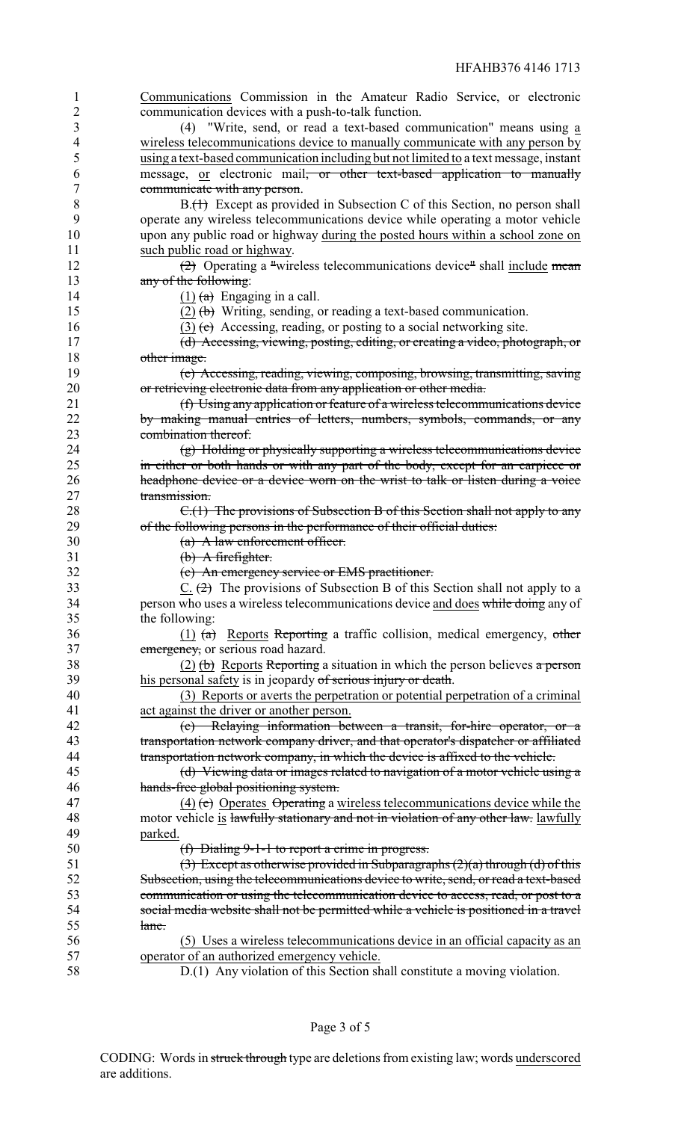Communications Commission in the Amateur Radio Service, or electronic communication devices with a push-to-talk function.

 (4) "Write, send, or read a text-based communication" means using a wireless telecommunications device to manually communicate with any person by using a text-based communication including but not limited to a text message, instant message, or electronic mail, or other text-based application to manually communicate with any person.

8 B.(1) Except as provided in Subsection C of this Section, no person shall operate any wireless telecommunications device while operating a motor vehicle upon any public road or highway during the posted hours within a school zone on such public road or highway.

12 (2) Operating a "wireless telecommunications device" shall include mean 13 any of the following:

14 (1)  $\left(\frac{1}{a}\right)$  Engaging in a call.

15 (2)  $(b)$  Writing, sending, or reading a text-based communication.

16 (3) (c) Accessing, reading, or posting to a social networking site.

 (d) Accessing, viewing, posting, editing, or creating a video, photograph, or 18 other image.

 (e) Accessing, reading, viewing, composing, browsing, transmitting, saving or retrieving electronic data from any application or other media.

 (f) Using any application or feature of a wireless telecommunications device by making manual entries of letters, numbers, symbols, commands, or any combination thereof.

24 (g) Holding or physically supporting a wireless telecommunications device<br>25 in either or both hands or with any part of the body, except for an earniece or in either or both hands or with any part of the body, except for an earpiece or **headphone device or a device worn on the wrist to talk or listen during a voice** 27 transmission.

28 C.(1) The provisions of Subsection B of this Section shall not apply to any of the following persons in the performance of their official duties:

(a) A law enforcement officer.

(b) A firefighter.

(c) An emergency service or EMS practitioner.

33 C.  $(2)$  The provisions of Subsection B of this Section shall not apply to a 34 person who uses a wireless telecommunications device and does while doing any of the following:

 (1) (a) Reports Reporting a traffic collision, medical emergency, other 37 emergency, or serious road hazard.

38 (2) (b) Reports Reporting a situation in which the person believes a person 39 his personal safety is in jeopardy of serious injury or death.

 (3) Reports or averts the perpetration or potential perpetration of a criminal act against the driver or another person.

 (c) Relaying information between a transit, for-hire operator, or a transportation network company driver, and that operator's dispatcher or affiliated 44 transportation network company, in which the device is affixed to the vehicle.

 (d) Viewing data or images related to navigation of a motor vehicle using a hands-free global positioning system.

47 (4) (e) Operates  $\theta$  operating a wireless telecommunications device while the 48 motor vehicle is lawfully stationary and not in violation of any other law. lawfully parked.

(f) Dialing 9-1-1 to report a crime in progress.

51 (3) Except as otherwise provided in Subparagraphs  $(2)(a)$  through (d) of this Subsection, using the telecommunications device to write, send, or read a text-based communication or using the telecommunication device to access, read, or post to a social media website shall not be permitted while a vehicle is positioned in a travel lane.

 (5) Uses a wireless telecommunications device in an official capacity as an operator of an authorized emergency vehicle.

D.(1) Any violation of this Section shall constitute a moving violation.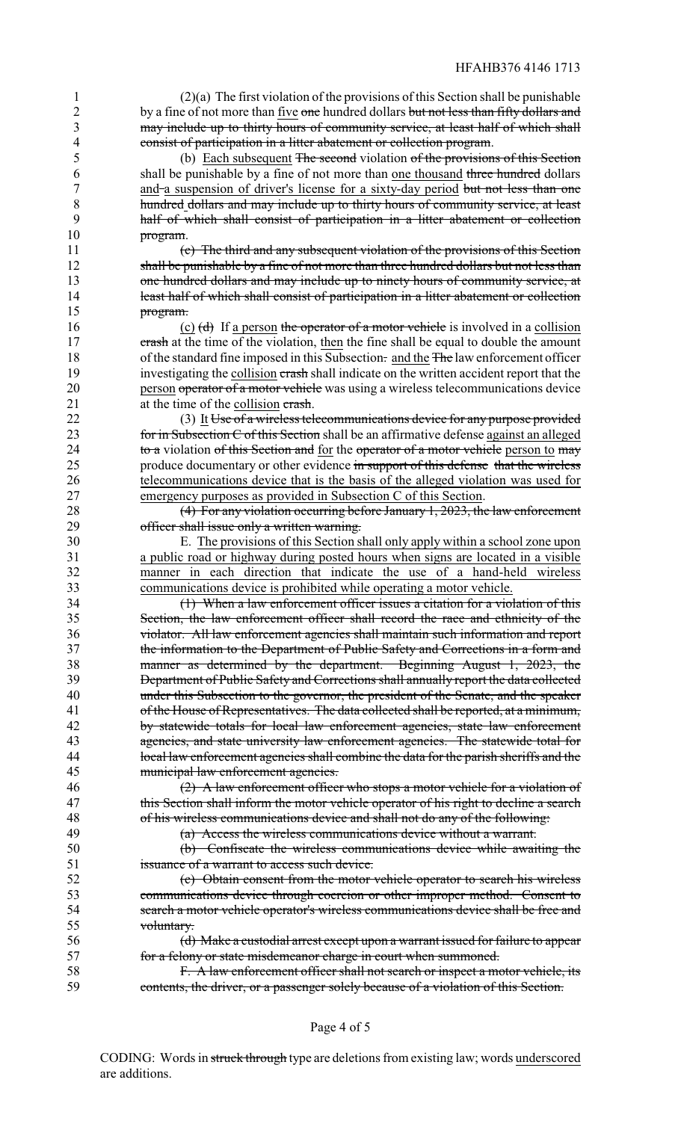(2)(a) The first violation of the provisions of this Section shall be punishable 2 by a fine of not more than five one hundred dollars but not less than fifty dollars and may include up to thirty hours of community service, at least half of which shall consist of participation in a litter abatement or collection program.

 (b) Each subsequent The second violation of the provisions of this Section shall be punishable by a fine of not more than one thousand three hundred dollars 7 and a suspension of driver's license for a sixty-day period but not less than one hundred dollars and may include up to thirty hours of community service, at least half of which shall consist of participation in a litter abatement or collection 10 program.

 (c) The third and any subsequent violation of the provisions of this Section 12 shall be punishable by a fine of not more than three hundred dollars but not less than 13 one hundred dollars and may include up to ninety hours of community service, at 14 least half of which shall consist of participation in a litter abatement or collection program.

16 (c)  $\left(\frac{d}{d}\right)$  If a person the operator of a motor vehicle is involved in a collision 17 crash at the time of the violation, then the fine shall be equal to double the amount 18 of the standard fine imposed in this Subsection. and the The law enforcement officer 19 investigating the collision crash shall indicate on the written accident report that the 20 person operator of a motor vehicle was using a wireless telecommunications device 21 at the time of the collision crash.

22 (3) It Use of a wireless telecommunications device for any purpose provided 23 for in Subsection C of this Section shall be an affirmative defense against an alleged 24 to a violation of this Section and <u>for</u> the operator of a motor vehicle person to may<br>25 moduce documentary or other evidence in support of this defense that the wireless produce documentary or other evidence in support of this defense that the wireless telecommunications device that is the basis of the alleged violation was used for emergency purposes as provided in Subsection C of this Section.

 (4) For any violation occurring before January 1, 2023, the law enforcement officer shall issue only a written warning.

 E. The provisions of this Section shall only apply within a school zone upon a public road or highway during posted hours when signs are located in a visible manner in each direction that indicate the use of a hand-held wireless communications device is prohibited while operating a motor vehicle.

 (1) When a law enforcement officer issues a citation for a violation of this Section, the law enforcement officer shall record the race and ethnicity of the violator. All law enforcement agencies shall maintain such information and report the information to the Department of Public Safety and Corrections in a form and manner as determined by the department. Beginning August 1, 2023, the Department of Public Safety and Corrections shall annually report the data collected under this Subsection to the governor, the president of the Senate, and the speaker of the House of Representatives. The data collected shall be reported, at a minimum, by statewide totals for local law enforcement agencies, state law enforcement agencies, and state university law enforcement agencies. The statewide total for 44 local law enforcement agencies shall combine the data for the parish sheriffs and the municipal law enforcement agencies. municipal law enforcement agencies.

 (2) A law enforcement officer who stops a motor vehicle for a violation of 47 this Section shall inform the motor vehicle operator of his right to decline a search of his wireless communications device and shall not do any of the following:

(a) Access the wireless communications device without a warrant.

 (b) Confiscate the wireless communications device while awaiting the issuance of a warrant to access such device.

 (c) Obtain consent from the motor vehicle operator to search his wireless communications device through coercion or other improper method. Consent to search a motor vehicle operator's wireless communications device shall be free and voluntary.

 (d) Make a custodial arrest except upon a warrant issued for failure to appear for a felony or state misdemeanor charge in court when summoned.

**F. A law enforcement officer shall not search or inspect a motor vehicle, its** contents, the driver, or a passenger solely because of a violation of this Section.